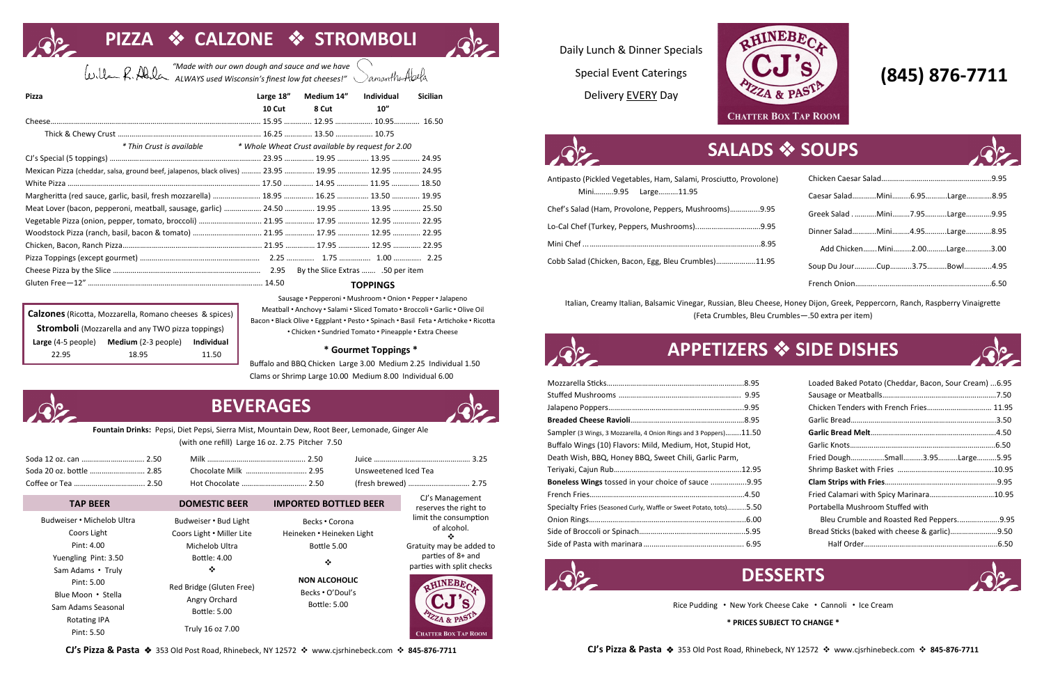# **SALADS** ❖ **SOUPS**

# **PIZZA** ❖ **CALZONE** ❖ **STROMBOLI**

| Antipasto (Pickled Vegetables, Ham, Salami, Prosciutto, Provolone) |  |
|--------------------------------------------------------------------|--|
| Mini9.95 Large11.95                                                |  |
| Chef's Salad (Ham, Provolone, Peppers, Mushrooms)9.95              |  |
| Lo-Cal Chef (Turkey, Peppers, Mushrooms)9.95                       |  |
|                                                                    |  |
| Cobb Salad (Chicken, Bacon, Egg, Bleu Crumbles)11.95               |  |

| ne) |                               |  |
|-----|-------------------------------|--|
|     | Caesar SaladMini6.95Large8.95 |  |
| 95  | Greek SaladMini7.95Large9.95  |  |
| 95  | Dinner SaladMini4.95Large8.95 |  |
| 95  | Add Chicken Mini2.00Large3.00 |  |
| 95  | Soup Du JourCup3.75Bowl4.95   |  |
|     |                               |  |

Italian, Creamy Italian, Balsamic Vinegar, Russian, Bleu Cheese, Honey Dijon, Greek, Peppercorn, Ranch, Raspberry Vinaigrette (Feta Crumbles, Bleu Crumbles—.50 extra per item)

| Sampler (3 Wings, 3 Mozzarella, 4 Onion Rings and 3 Poppers)11.50  |  |
|--------------------------------------------------------------------|--|
| Buffalo Wings (10) Flavors: Mild, Medium, Hot, Stupid Hot,         |  |
| Death Wish, BBQ, Honey BBQ, Sweet Chili, Garlic Parm,              |  |
|                                                                    |  |
| Boneless Wings tossed in your choice of sauce 9.95                 |  |
|                                                                    |  |
| Specialty Fries (Seasoned Curly, Waffle or Sweet Potato, tots)5.50 |  |
|                                                                    |  |
|                                                                    |  |
|                                                                    |  |



| Loaded Baked Potato (Cheddar, Bacon, Sour Cream) 6.95 |  |
|-------------------------------------------------------|--|
|                                                       |  |
| Chicken Tenders with French Fries 11.95               |  |
|                                                       |  |
|                                                       |  |
|                                                       |  |
| Fried DoughSmall3.95Large5.95                         |  |
|                                                       |  |
|                                                       |  |
|                                                       |  |
| Portabella Mushroom Stuffed with                      |  |
| Bleu Crumble and Roasted Red Peppers9.95              |  |
| Bread Sticks (baked with cheese & garlic)9.50         |  |
|                                                       |  |

Rice Pudding **∙** New York Cheese Cake **∙** Cannoli **∙** Ice Cream

**\* PRICES SUBJECT TO CHANGE \***



## **(845) 876-7711**

Daily Lunch & Dinner Specials Special Event Caterings **Pizza Large 18" Medium 14" Individual Sicilian** Delivery EVERY Day





| <b>Pizza</b>                                                                         | Large 18" | Medium 14"                                        | <b>Individual</b> | <b>Sicilian</b> |
|--------------------------------------------------------------------------------------|-----------|---------------------------------------------------|-------------------|-----------------|
|                                                                                      | 10 Cut    | 8 Cut                                             | 10''              |                 |
|                                                                                      |           |                                                   |                   |                 |
|                                                                                      |           |                                                   |                   |                 |
| * Thin Crust is available                                                            |           | * Whole Wheat Crust available by request for 2.00 |                   |                 |
|                                                                                      |           |                                                   |                   |                 |
|                                                                                      |           |                                                   |                   |                 |
|                                                                                      |           |                                                   |                   |                 |
| Margheritta (red sauce, garlic, basil, fresh mozzarella)  18.95  16.25  13.50  19.95 |           |                                                   |                   |                 |
| Meat Lover (bacon, pepperoni, meatball, sausage, garlic)  24.50  19.95  13.95  25.50 |           |                                                   |                   |                 |
| Vegetable Pizza (onion, pepper, tomato, broccoli)  21.95  17.95  12.95  22.95        |           |                                                   |                   |                 |
| Woodstock Pizza (ranch, basil, bacon & tomato)  21.95  12.95  22.95                  |           |                                                   |                   |                 |
|                                                                                      |           |                                                   |                   |                 |
|                                                                                      |           |                                                   |                   |                 |
|                                                                                      |           | By the Slice Extras 50 per item                   |                   |                 |
|                                                                                      |           |                                                   | <b>TOPPINGS</b>   |                 |

*"Made with our own dough and sauce and we have ALWAYS used Wisconsin's finest low fat cheeses!"* 

| <b>Calzones</b> (Ricotta, Mozzarella, Romano cheeses & spices) |                     |            |  |
|----------------------------------------------------------------|---------------------|------------|--|
| <b>Stromboli</b> (Mozzarella and any TWO pizza toppings)       |                     |            |  |
| Large (4-5 people)                                             | Medium (2-3 people) | Individual |  |
| 22.95                                                          | 18.95               | 11.50      |  |

Sausage **∙** Pepperoni **∙** Mushroom **∙** Onion **∙** Pepper **∙** Jalapeno Meatball **∙** Anchovy **∙** Salami **∙** Sliced Tomato **∙** Broccoli **∙** Garlic **∙** Olive Oil Bacon **∙** Black Olive **∙** Eggplant **∙** Pesto **∙** Spinach **∙** Basil Feta **∙** Artichoke **∙** Ricotta **∙** Chicken **∙** Sundried Tomato **∙** Pineapple **∙** Extra Cheese

### **\* Gourmet Toppings \***

Buffalo and BBQ Chicken Large 3.00 Medium 2.25 Individual 1.50 Clams or Shrimp Large 10.00 Medium 8.00 Individual 6.00

### **APPETIZERS** ❖ **SIDE DISHES**

## **DESSERTS**